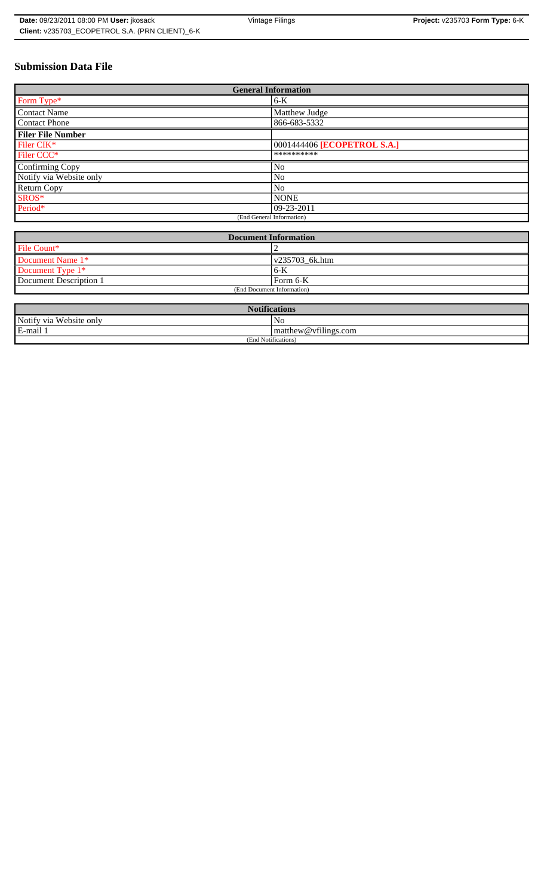# **Submission Data File**

| <b>General Information</b> |                             |
|----------------------------|-----------------------------|
| Form Type*                 | 6-K                         |
| <b>Contact Name</b>        | Matthew Judge               |
| <b>Contact Phone</b>       | 866-683-5332                |
| <b>Filer File Number</b>   |                             |
| Filer CIK*                 | 0001444406 [ECOPETROL S.A.] |
| Filer CCC*                 | **********                  |
| Confirming Copy            | N <sub>0</sub>              |
| Notify via Website only    | No                          |
| Return Copy                | N <sub>o</sub>              |
| SROS*                      | <b>NONE</b>                 |
| Period*                    | $ 09-23-2011$               |
| (End General Information)  |                             |

| <b>Document Information</b> |                |
|-----------------------------|----------------|
| File Count*                 |                |
| Document Name 1*            | v235703 6k.htm |
| Document Type 1*            | $6 - K$        |
| Document Description 1      | Form 6-K       |
| (End Document Information)  |                |

| <b>Notifications</b>         |                      |
|------------------------------|----------------------|
| Notify via<br>u Website only | No                   |
| E-mail 1                     | matthew@vfilings.com |
| (End Notifications)          |                      |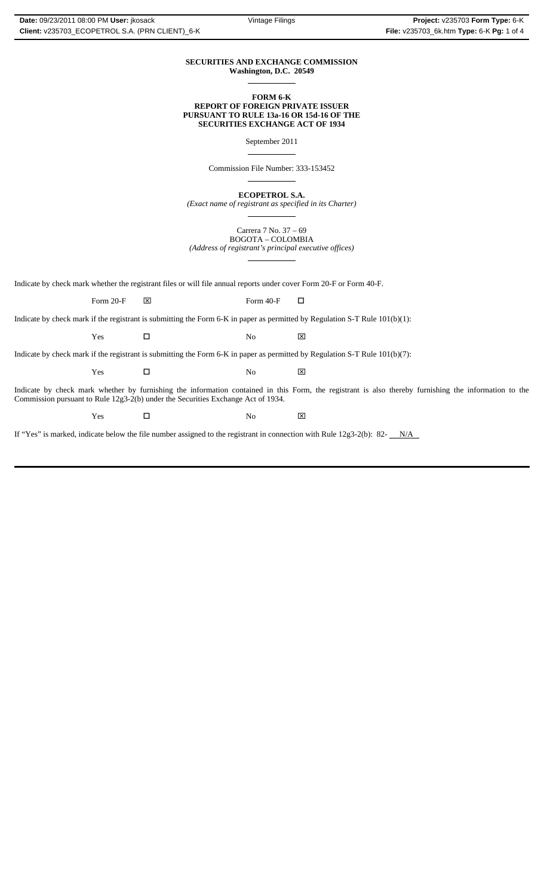#### **SECURITIES AND EXCHANGE COMMISSION Washington, D.C. 20549**  $\overline{a}$

### **FORM 6-K REPORT OF FOREIGN PRIVATE ISSUER PURSUANT TO RULE 13a-16 OR 15d-16 OF THE SECURITIES EXCHANGE ACT OF 1934**

September 2011

 $\overline{a}$ 

 $\overline{a}$ 

 $\overline{a}$ 

 $\overline{a}$ 

Commission File Number: 333-153452

**ECOPETROL S.A.**

*(Exact name of registrant as specified in its Charter)*

Carrera 7 No. 37 – 69 BOGOTA – COLOMBIA *(Address of registrant's principal executive offices)*

Indicate by check mark whether the registrant files or will file annual reports under cover Form 20-F or Form 40-F.

Form 20-F  $\boxtimes$  Form 40-F  $\Box$ 

Indicate by check mark if the registrant is submitting the Form 6-K in paper as permitted by Regulation S-T Rule 101(b)(1):

Yes □ No ⊠

Indicate by check mark if the registrant is submitting the Form 6-K in paper as permitted by Regulation S-T Rule 101(b)(7):

Yes □ No ⊠

Indicate by check mark whether by furnishing the information contained in this Form, the registrant is also thereby furnishing the information to the Commission pursuant to Rule 12g3-2(b) under the Securities Exchange Act of 1934.

 $Yes$   $\square$  No  $X$ 

If "Yes" is marked, indicate below the file number assigned to the registrant in connection with Rule  $12g3-2(b)$ : 82- $N/A$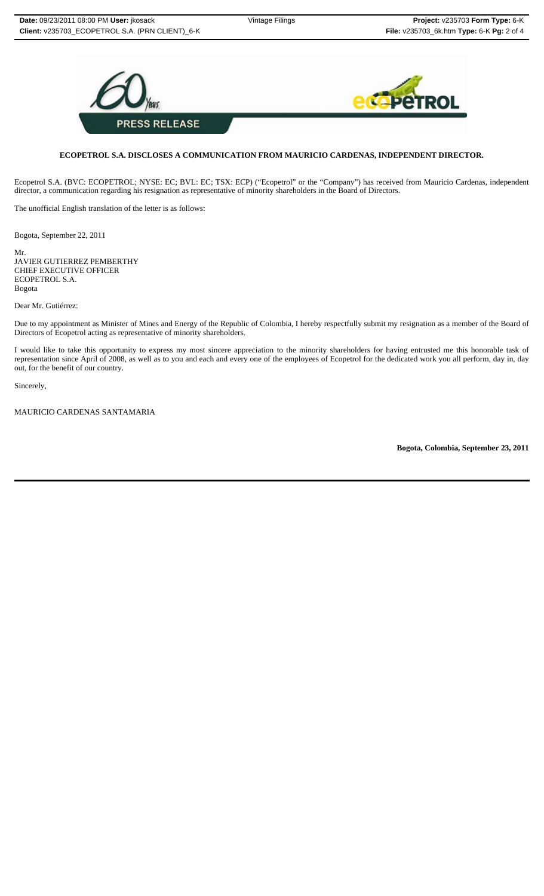

## **ECOPETROL S.A. DISCLOSES A COMMUNICATION FROM MAURICIO CARDENAS, INDEPENDENT DIRECTOR.**

Ecopetrol S.A. (BVC: ECOPETROL; NYSE: EC; BVL: EC; TSX: ECP) ("Ecopetrol" or the "Company") has received from Mauricio Cardenas, independent director, a communication regarding his resignation as representative of minority shareholders in the Board of Directors.

The unofficial English translation of the letter is as follows:

Bogota, September 22, 2011

Mr. JAVIER GUTIERREZ PEMBERTHY CHIEF EXECUTIVE OFFICER ECOPETROL S.A. Bogota

Dear Mr. Gutiérrez:

Due to my appointment as Minister of Mines and Energy of the Republic of Colombia, I hereby respectfully submit my resignation as a member of the Board of Directors of Ecopetrol acting as representative of minority shareholders.

I would like to take this opportunity to express my most sincere appreciation to the minority shareholders for having entrusted me this honorable task of representation since April of 2008, as well as to you and each and every one of the employees of Ecopetrol for the dedicated work you all perform, day in, day out, for the benefit of our country.

Sincerely,

MAURICIO CARDENAS SANTAMARIA

**Bogota, Colombia, September 23, 2011**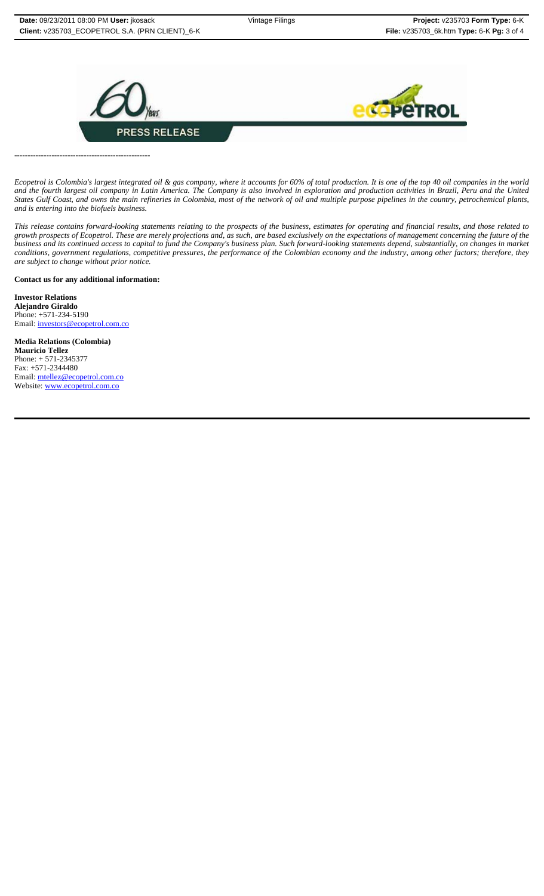

*Ecopetrol is Colombia's largest integrated oil & gas company, where it accounts for 60% of total production. It is one of the top 40 oil companies in the world and the fourth largest oil company in Latin America. The Company is also involved in exploration and production activities in Brazil, Peru and the United States Gulf Coast, and owns the main refineries in Colombia, most of the network of oil and multiple purpose pipelines in the country, petrochemical plants, and is entering into the biofuels business.*

*This release contains forward-looking statements relating to the prospects of the business, estimates for operating and financial results, and those related to growth prospects of Ecopetrol. These are merely projections and, as such, are based exclusively on the expectations of management concerning the future of the business and its continued access to capital to fund the Company's business plan. Such forward-looking statements depend, substantially, on changes in market conditions, government regulations, competitive pressures, the performance of the Colombian economy and the industry, among other factors; therefore, they are subject to change without prior notice.*

**Contact us for any additional information:**

---------------------------------------------------

**Investor Relations Alejandro Giraldo** Phone: +571-234-5190 Email: investors@ecopetrol.com.co

**Media Relations (Colombia) Mauricio Tellez** Phone: + 571-2345377 Fax: +571-2344480 Email: mtellez@ecopetrol.com.co Website: www.ecopetrol.com.co